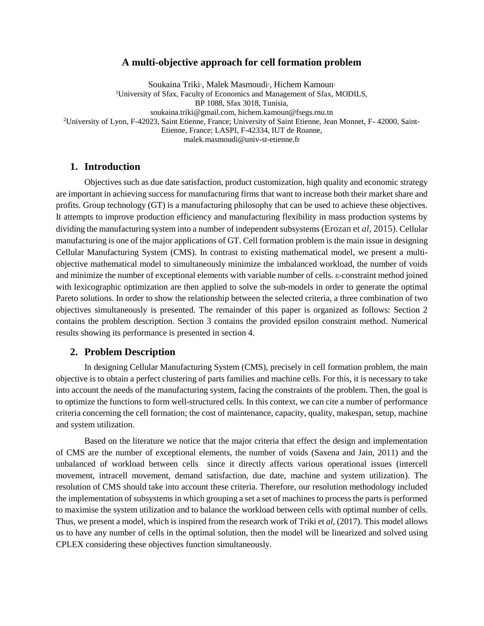#### **A multi-objective approach for cell formation problem**

Soukaina Triki<sup>1</sup>, Malek Masmoudi<sup>2</sup>, Hichem Kamoun<sup>1</sup> <sup>1</sup>University of Sfax, Faculty of Economics and Management of Sfax, MODILS, BP 1088, Sfax 3018, Tunisia, soukaina.triki@gmail.com, hichem.kamoun@fsegs.rnu.tn <sup>2</sup>University of Lyon, F-42023, Saint Etienne, France; University of Saint Etienne, Jean Monnet, F- 42000, Saint-Etienne, France; LASPI, F-42334, IUT de Roanne, malek.masmoudi@univ-st-etienne.fr

### **1. Introduction**

Objectives such as due date satisfaction, product customization, high quality and economic strategy are important in achieving success for manufacturing firms that want to increase both their market share and profits. Group technology (GT) is a manufacturing philosophy that can be used to achieve these objectives. It attempts to improve production efficiency and manufacturing flexibility in mass production systems by dividing the manufacturing system into a number of independent subsystems (Erozan et *al,* 2015). Cellular manufacturing is one of the major applications of GT. Cell formation problem is the main issue in designing Cellular Manufacturing System (CMS). In contrast to existing mathematical model, we present a multiobjective mathematical model to simultaneously minimize the imbalanced workload, the number of voids and minimize the number of exceptional elements with variable number of cells. ε-constraint method joined with lexicographic optimization are then applied to solve the sub-models in order to generate the optimal Pareto solutions. In order to show the relationship between the selected criteria, a three combination of two objectives simultaneously is presented. The remainder of this paper is organized as follows: Section 2 contains the problem description. Section 3 contains the provided epsilon constraint method. Numerical results showing its performance is presented in section 4.

### **2. Problem Description**

In designing Cellular Manufacturing System (CMS), precisely in cell formation problem, the main objective is to obtain a perfect clustering of parts families and machine cells. For this, it is necessary to take into account the needs of the manufacturing system, facing the constraints of the problem. Then, the goal is to optimize the functions to form well-structured cells. In this context, we can cite a number of performance criteria concerning the cell formation; the cost of maintenance, capacity, quality, makespan, setup, machine and system utilization.

Based on the literature we notice that the major criteria that effect the design and implementation of CMS are the number of exceptional elements, the number of voids (Saxena and Jain, 2011) and the unbalanced of workload between cells since it directly affects various operational issues (intercell movement, intracell movement, demand satisfaction, due date, machine and system utilization). The resolution of CMS should take into account these criteria. Therefore, our resolution methodology included the implementation of subsystems in which grouping a set a set of machines to process the parts is performed to maximise the system utilization and to balance the workload between cells with optimal number of cells. Thus, we present a model, which is inspired from the research work of Triki et *al,* (2017). This model allows us to have any number of cells in the optimal solution, then the model will be linearized and solved using CPLEX considering these objectives function simultaneously.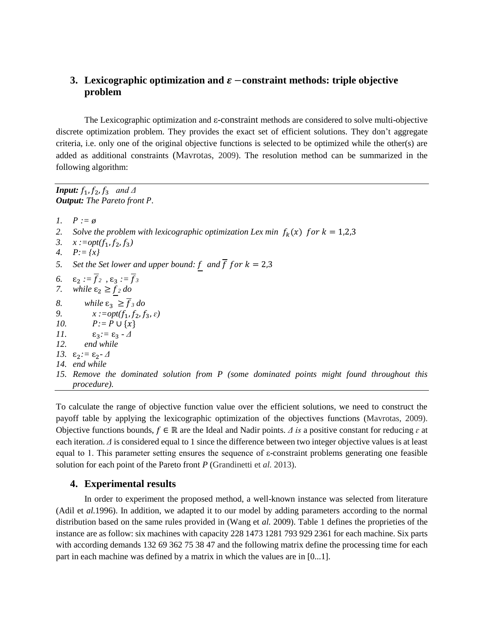# **3.** Lexicographic optimization and  $\varepsilon$  –constraint methods: triple objective **problem**

The Lexicographic optimization and ε-constraint methods are considered to solve multi-objective discrete optimization problem. They provides the exact set of efficient solutions. They don't aggregate criteria, i.e. only one of the original objective functions is selected to be optimized while the other(s) are added as additional constraints (Mavrotas, 2009). The resolution method can be summarized in the following algorithm:

*Input:*  $f_1$ ,  $f_2$ ,  $f_3$  and  $\Delta$ *Output: The Pareto front .*

*1.*  $P := \emptyset$ 2. Solve the problem with lexicographic optimization Lex min  $f_k(x)$  for  $k = 1,2,3$ *3.*  $x := opt(f_1, f_2, f_3)$ *4. P:= {x}* 5. Set the Set lower and upper bound:  $\frac{f}{f}$  and  $\overline{f}$  f or  $k = 2,3$ 6.  $\epsilon_2 := \overline{f}_2$ ,  $\epsilon_3 := \overline{f}_3$ *7. while*  $\varepsilon_2 \ge f_2$  *do 8. while*  $\varepsilon_3 \geq \overline{f}_3$  *do*<br>*9. x* := *opt*(*f*<sub>1</sub>, *f*<sub>2</sub>, *f*  $\chi$  *:=opt*( $f_1$ , $f_2$ , $f_3$ , $\varepsilon$ ) *10.*  $P:= P \cup \{x\}$ *11.* **ε**<sub>3</sub>*:* = **ε**<sub>3</sub> *- Δ 12. end while 13.* ɛ2*:=* ɛ2*- Δ 14. end while 15. Remove the dominated solution from P (some dominated points might found throughout this procedure).*

To calculate the range of objective function value over the efficient solutions, we need to construct the payoff table by applying the lexicographic optimization of the objectives functions (Mavrotas, 2009). Objective functions bounds,  $f \in \mathbb{R}$  are the Ideal and Nadir points. *Δ* is a positive constant for reducing  $\varepsilon$  at each iteration. *Δ* is considered equal to 1 since the difference between two integer objective values is at least equal to 1. This parameter setting ensures the sequence of  $\varepsilon$ -constraint problems generating one feasible solution for each point of the Pareto front *P* (Grandinetti et *al.* 2013).

## **4. Experimental results**

In order to experiment the proposed method, a well-known instance was selected from literature (Adil et *al.*1996). In addition, we adapted it to our model by adding parameters according to the normal distribution based on the same rules provided in (Wang et *al.* 2009). Table 1 defines the proprieties of the instance are as follow: six machines with capacity 228 1473 1281 793 929 2361 for each machine. Six parts with according demands 132 69 362 75 38 47 and the following matrix define the processing time for each part in each machine was defined by a matrix in which the values are in [0...1].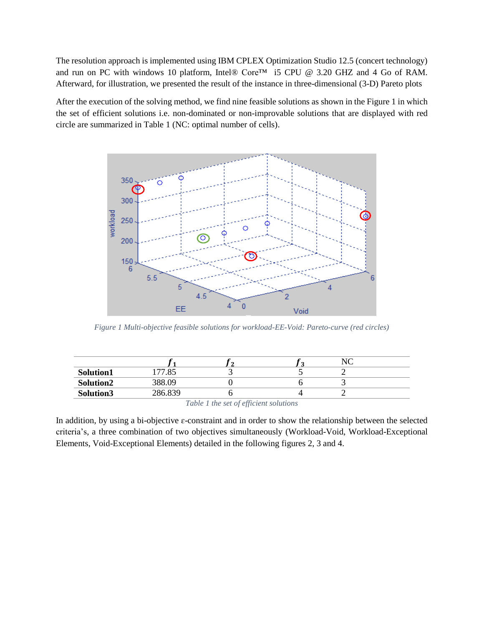The resolution approach is implemented using IBM CPLEX Optimization Studio 12.5 (concert technology) and run on PC with windows 10 platform, Intel® Core™ i5 CPU @ 3.20 GHZ and 4 Go of RAM. Afterward, for illustration, we presented the result of the instance in three-dimensional (3-D) Pareto plots

After the execution of the solving method, we find nine feasible solutions as shown in the Figure 1 in which the set of efficient solutions i.e. non-dominated or non-improvable solutions that are displayed with red circle are summarized in Table 1 (NC: optimal number of cells).



*Figure 1 Multi-objective feasible solutions for workload-EE-Void: Pareto-curve (red circles)*

| Solution1                                                                                                                                                                                                                     | 177.85  |  |  |  |  |
|-------------------------------------------------------------------------------------------------------------------------------------------------------------------------------------------------------------------------------|---------|--|--|--|--|
| Solution2                                                                                                                                                                                                                     | 388.09  |  |  |  |  |
| Solution3                                                                                                                                                                                                                     | 286.839 |  |  |  |  |
| $T$ is the set of $T$ is the set of $T$ is the set of $T$ is the set of $T$ is the set of $T$ is the set of $T$ is the set of $T$ is the set of $T$ is the set of $T$ is the set of $T$ is the set of $T$ is the set of $T$ i |         |  |  |  |  |

*Table 1 the set of efficient solutions*

In addition, by using a bi-objective  $\varepsilon$ -constraint and in order to show the relationship between the selected criteria's, a three combination of two objectives simultaneously (Workload-Void, Workload-Exceptional Elements, Void-Exceptional Elements) detailed in the following figures 2, 3 and 4.